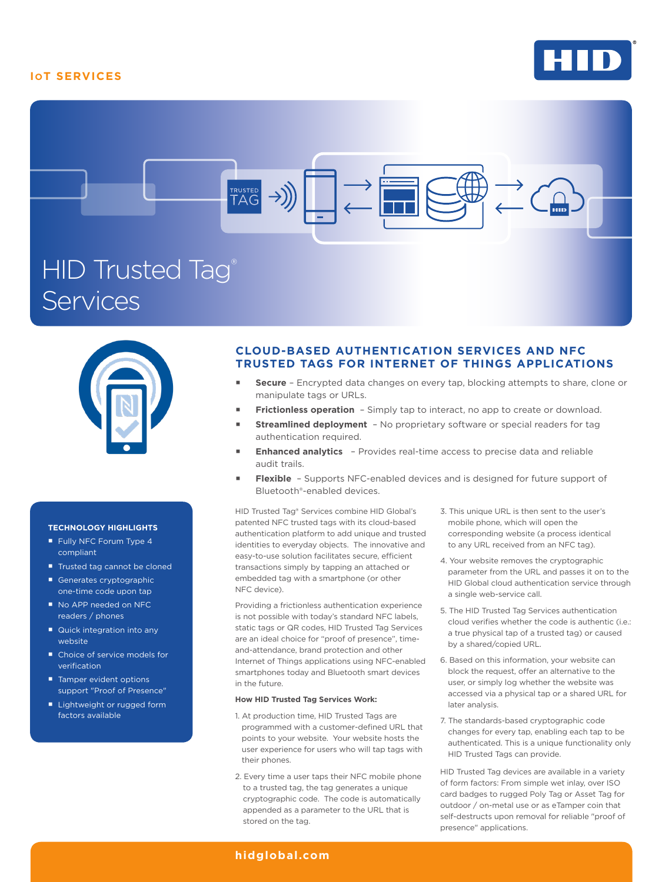## **IOT SERVICES**







#### **TECHNOLOGY HIGHLIGHTS**

- Fully NFC Forum Type 4 compliant
- Trusted tag cannot be cloned
- Generates cryptographic one-time code upon tap
- No APP needed on NFC readers / phones
- Quick integration into any website
- Choice of service models for verification
- Tamper evident options support "Proof of Presence"
- **Lightweight or rugged form** factors available

### **CLOUD-BASED AUTHENTICATION SERVICES AND NFC TRUSTED TAGS FOR INTERNET OF THINGS APPLICATIONS**

- **Secure**  Encrypted data changes on every tap, blocking attempts to share, clone or manipulate tags or URLs.
- **Frictionless operation**  Simply tap to interact, no app to create or download.
- **Streamlined deployment**  No proprietary software or special readers for tag authentication required.
- **Enhanced analytics**  Provides real-time access to precise data and reliable audit trails.
- **Flexible**  Supports NFC-enabled devices and is designed for future support of Bluetooth®-enabled devices.

HID Trusted Tag® Services combine HID Global's patented NFC trusted tags with its cloud-based authentication platform to add unique and trusted identities to everyday objects. The innovative and easy-to-use solution facilitates secure, efficient transactions simply by tapping an attached or embedded tag with a smartphone (or other NFC device).

Providing a frictionless authentication experience is not possible with today's standard NFC labels, static tags or QR codes, HID Trusted Tag Services are an ideal choice for "proof of presence", timeand-attendance, brand protection and other Internet of Things applications using NFC-enabled smartphones today and Bluetooth smart devices in the future.

#### **How HID Trusted Tag Services Work:**

- 1. At production time, HID Trusted Tags are programmed with a customer-defined URL that points to your website. Your website hosts the user experience for users who will tap tags with their phones.
- 2. Every time a user taps their NFC mobile phone to a trusted tag, the tag generates a unique cryptographic code. The code is automatically appended as a parameter to the URL that is stored on the tag.
- 3. This unique URL is then sent to the user's mobile phone, which will open the corresponding website (a process identical to any URL received from an NFC tag).
- 4. Your website removes the cryptographic parameter from the URL and passes it on to the HID Global cloud authentication service through a single web-service call.
- 5. The HID Trusted Tag Services authentication cloud verifies whether the code is authentic (i.e.: a true physical tap of a trusted tag) or caused by a shared/copied URL.
- 6. Based on this information, your website can block the request, offer an alternative to the user, or simply log whether the website was accessed via a physical tap or a shared URL for later analysis.
- 7. The standards-based cryptographic code changes for every tap, enabling each tap to be authenticated. This is a unique functionality only HID Trusted Tags can provide.

HID Trusted Tag devices are available in a variety of form factors: From simple wet inlay, over ISO card badges to rugged Poly Tag or Asset Tag for outdoor / on-metal use or as eTamper coin that self-destructs upon removal for reliable "proof of presence" applications.

#### **hidglobal.com**